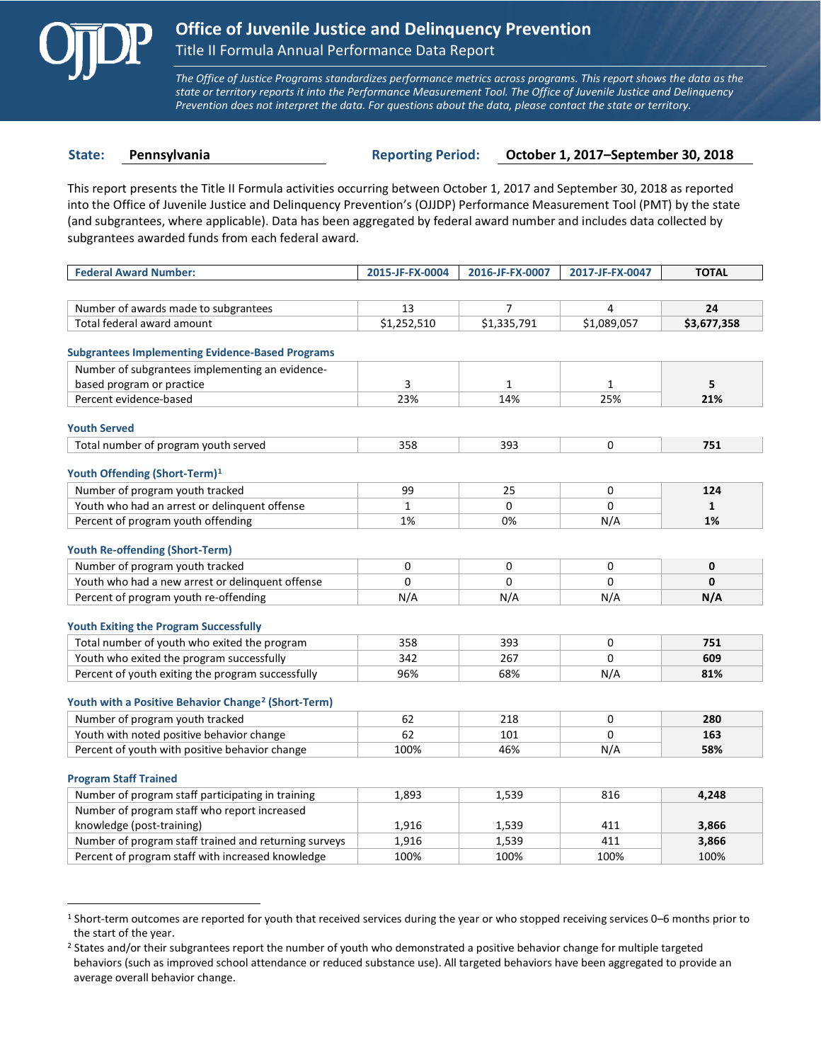

 $\overline{a}$ 

*The Office of Justice Programs standardizes performance metrics across programs. This report shows the data as the state or territory reports it into the Performance Measurement Tool. The Office of Juvenile Justice and Delinquency Prevention does not interpret the data. For questions about the data, please contact the state or territory.*

**State: Pennsylvania Reporting Period: October 1, 2017–September 30, 2018**

This report presents the Title II Formula activities occurring between October 1, 2017 and September 30, 2018 as reported into the Office of Juvenile Justice and Delinquency Prevention's (OJJDP) Performance Measurement Tool (PMT) by the state (and subgrantees, where applicable). Data has been aggregated by federal award number and includes data collected by subgrantees awarded funds from each federal award.

| <b>Federal Award Number:</b>                                    | 2015-JF-FX-0004 | 2016-JF-FX-0007 | 2017-JF-FX-0047 | <b>TOTAL</b> |
|-----------------------------------------------------------------|-----------------|-----------------|-----------------|--------------|
|                                                                 |                 |                 |                 |              |
| Number of awards made to subgrantees                            | 13              | $\overline{7}$  | 4               | 24           |
| Total federal award amount                                      | \$1,252,510     | \$1,335,791     | \$1,089,057     | \$3,677,358  |
| <b>Subgrantees Implementing Evidence-Based Programs</b>         |                 |                 |                 |              |
| Number of subgrantees implementing an evidence-                 |                 |                 |                 |              |
| based program or practice                                       | 3               | $\mathbf{1}$    | 1               | 5            |
| Percent evidence-based                                          | 23%             | 14%             | 25%             | 21%          |
| <b>Youth Served</b>                                             |                 |                 |                 |              |
| Total number of program youth served                            | 358             | 393             | 0               | 751          |
|                                                                 |                 |                 |                 |              |
| Youth Offending (Short-Term) <sup>1</sup>                       |                 |                 |                 |              |
| Number of program youth tracked                                 | 99              | 25              | 0               | 124          |
| Youth who had an arrest or delinquent offense                   | $\mathbf{1}$    | $\Omega$        | $\Omega$        | $\mathbf{1}$ |
| Percent of program youth offending                              | 1%              | 0%              | N/A             | 1%           |
| <b>Youth Re-offending (Short-Term)</b>                          |                 |                 |                 |              |
| Number of program youth tracked                                 | 0               | 0               | 0               | $\mathbf 0$  |
| Youth who had a new arrest or delinguent offense                | 0               | $\Omega$        | $\Omega$        | $\Omega$     |
| Percent of program youth re-offending                           | N/A             | N/A             | N/A             | N/A          |
| <b>Youth Exiting the Program Successfully</b>                   |                 |                 |                 |              |
| Total number of youth who exited the program                    | 358             | 393             | 0               | 751          |
| Youth who exited the program successfully                       | 342             | 267             | $\Omega$        | 609          |
| Percent of youth exiting the program successfully               | 96%             | 68%             | N/A             | 81%          |
| Youth with a Positive Behavior Change <sup>2</sup> (Short-Term) |                 |                 |                 |              |
| Number of program youth tracked                                 | 62              | 218             | $\Omega$        | 280          |
| Youth with noted positive behavior change                       | 62              | 101             | $\Omega$        | 163          |
| Percent of youth with positive behavior change                  | 100%            | 46%             | N/A             | 58%          |
|                                                                 |                 |                 |                 |              |
| <b>Program Staff Trained</b>                                    |                 |                 |                 |              |
| Number of program staff participating in training               | 1,893           | 1,539           | 816             | 4.248        |
| Number of program staff who report increased                    |                 |                 |                 |              |
| knowledge (post-training)                                       | 1,916           | 1,539           | 411             | 3,866        |
| Number of program staff trained and returning surveys           | 1,916           | 1,539           | 411             | 3,866        |
| Percent of program staff with increased knowledge               | 100%            | 100%            | 100%            | 100%         |

<span id="page-0-0"></span><sup>1</sup> Short-term outcomes are reported for youth that received services during the year or who stopped receiving services 0–6 months prior to the start of the year.

<span id="page-0-1"></span><sup>&</sup>lt;sup>2</sup> States and/or their subgrantees report the number of youth who demonstrated a positive behavior change for multiple targeted behaviors (such as improved school attendance or reduced substance use). All targeted behaviors have been aggregated to provide an average overall behavior change.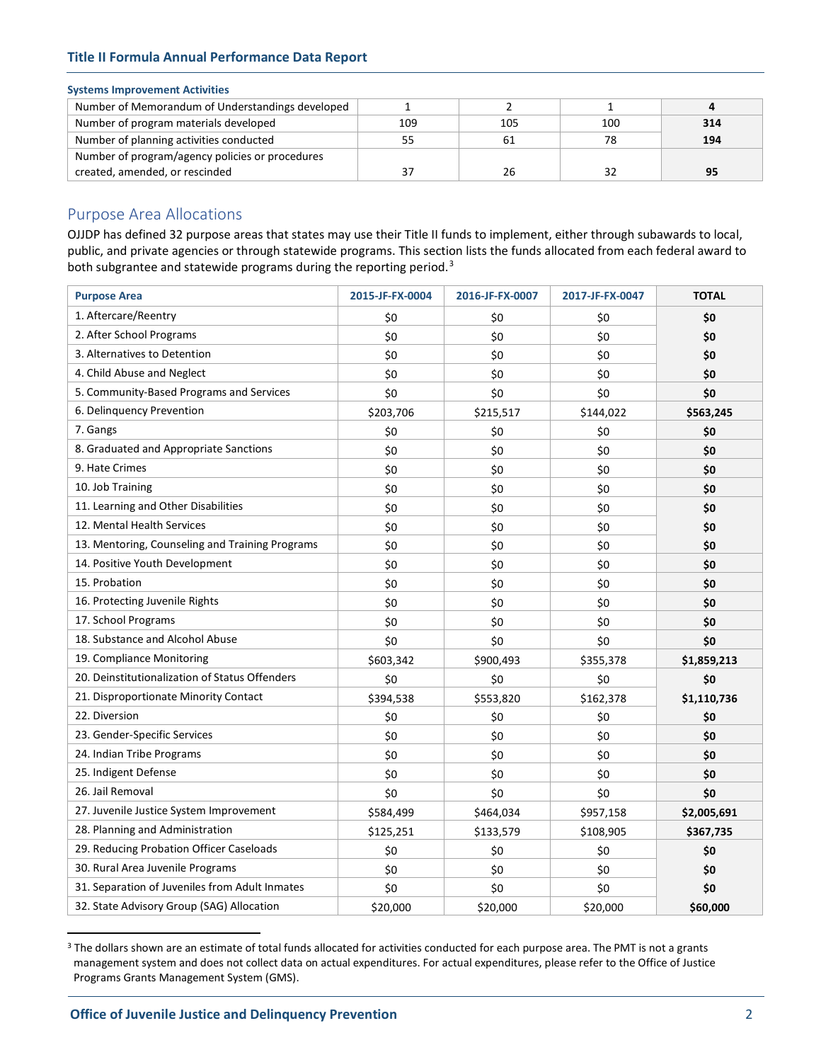# **Title II Formula Annual Performance Data Report**

# **Systems Improvement Activities**

| Number of Memorandum of Understandings developed |     |     |     |     |
|--------------------------------------------------|-----|-----|-----|-----|
| Number of program materials developed            | 109 | 105 | 100 | 314 |
| Number of planning activities conducted          | 55  |     | 78  | 194 |
| Number of program/agency policies or procedures  |     |     |     |     |
| created, amended, or rescinded                   | 37  |     | 32  |     |

# Purpose Area Allocations

OJJDP has defined 32 purpose areas that states may use their Title II funds to implement, either through subawards to local, public, and private agencies or through statewide programs. This section lists the funds allocated from each federal award to both subgrantee and statewide programs during the reporting period.<sup>[3](#page-1-0)</sup>

| <b>Purpose Area</b>                             | 2015-JF-FX-0004 | 2016-JF-FX-0007 | 2017-JF-FX-0047 | <b>TOTAL</b> |
|-------------------------------------------------|-----------------|-----------------|-----------------|--------------|
| 1. Aftercare/Reentry                            | \$0             | \$0             | \$0             | \$0          |
| 2. After School Programs                        | \$0             | \$0             | \$0             | \$0          |
| 3. Alternatives to Detention                    | \$0             | \$0             | \$0             | \$0          |
| 4. Child Abuse and Neglect                      | \$0             | \$0             | \$0             | \$0          |
| 5. Community-Based Programs and Services        | \$0             | \$0             | \$0             | \$0          |
| 6. Delinquency Prevention                       | \$203,706       | \$215,517       | \$144,022       | \$563,245    |
| 7. Gangs                                        | \$0             | \$0             | \$0             | \$0          |
| 8. Graduated and Appropriate Sanctions          | \$0             | \$0             | \$0             | \$0          |
| 9. Hate Crimes                                  | \$0             | \$0             | \$0             | \$0          |
| 10. Job Training                                | \$0             | \$0             | \$0             | \$0          |
| 11. Learning and Other Disabilities             | \$0             | \$0             | \$0             | \$0          |
| 12. Mental Health Services                      | \$0             | \$0             | \$0             | \$0          |
| 13. Mentoring, Counseling and Training Programs | \$0             | \$0             | \$0             | \$0          |
| 14. Positive Youth Development                  | \$0             | \$0             | \$0             | \$0          |
| 15. Probation                                   | \$0             | \$0             | \$0             | \$0          |
| 16. Protecting Juvenile Rights                  | \$0             | \$0             | \$0             | \$0          |
| 17. School Programs                             | \$0             | \$0             | \$0             | \$0          |
| 18. Substance and Alcohol Abuse                 | \$0             | \$0             | \$0             | \$0          |
| 19. Compliance Monitoring                       | \$603,342       | \$900,493       | \$355,378       | \$1,859,213  |
| 20. Deinstitutionalization of Status Offenders  | \$0             | \$0             | \$0             | \$0          |
| 21. Disproportionate Minority Contact           | \$394,538       | \$553,820       | \$162,378       | \$1,110,736  |
| 22. Diversion                                   | \$0             | \$0             | \$0             | \$0          |
| 23. Gender-Specific Services                    | \$0             | \$0             | \$0             | \$0          |
| 24. Indian Tribe Programs                       | \$0             | \$0             | \$0             | \$0          |
| 25. Indigent Defense                            | \$0             | \$0             | \$0             | \$0          |
| 26. Jail Removal                                | \$0             | \$0             | \$0             | \$0          |
| 27. Juvenile Justice System Improvement         | \$584,499       | \$464,034       | \$957,158       | \$2,005,691  |
| 28. Planning and Administration                 | \$125,251       | \$133,579       | \$108,905       | \$367,735    |
| 29. Reducing Probation Officer Caseloads        | \$0             | \$0             | \$0             | \$0          |
| 30. Rural Area Juvenile Programs                | \$0             | \$0             | \$0             | \$0          |
| 31. Separation of Juveniles from Adult Inmates  | \$0             | \$0             | \$0             | \$0          |
| 32. State Advisory Group (SAG) Allocation       | \$20,000        | \$20,000        | \$20,000        | \$60,000     |

<span id="page-1-0"></span><sup>&</sup>lt;sup>3</sup> The dollars shown are an estimate of total funds allocated for activities conducted for each purpose area. The PMT is not a grants management system and does not collect data on actual expenditures. For actual expenditures, please refer to the Office of Justice Programs Grants Management System (GMS).

 $\overline{a}$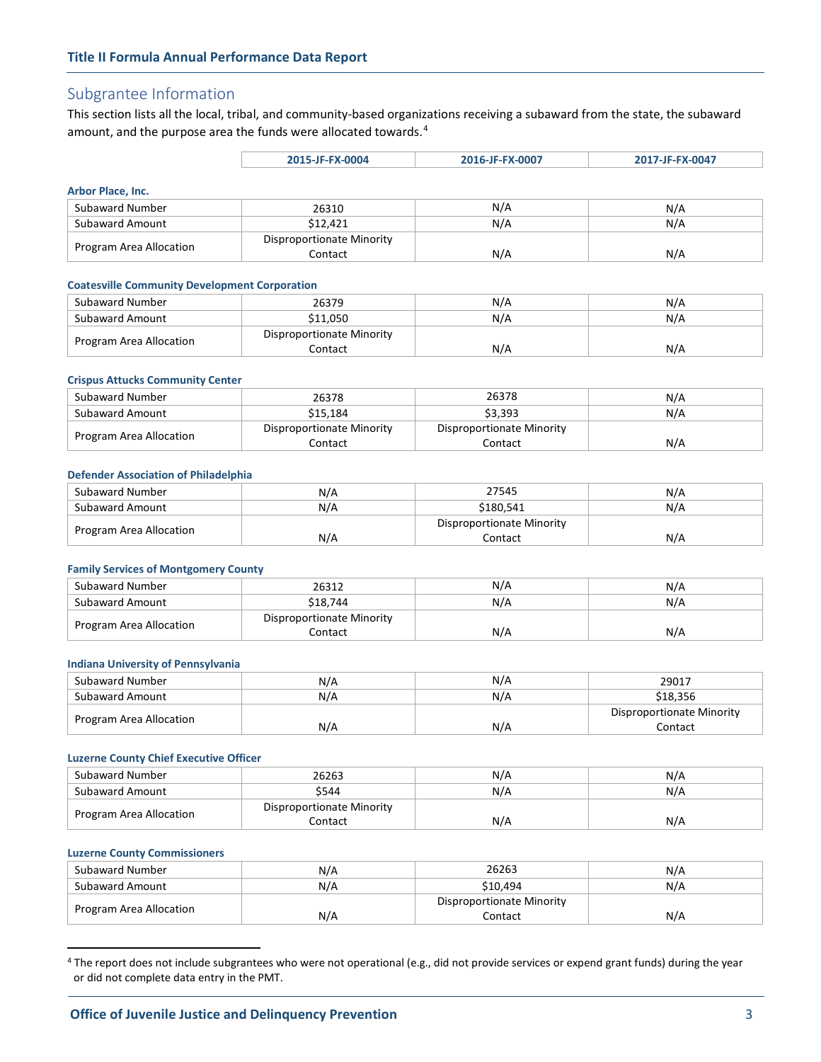# Subgrantee Information

**Arbor Pla** 

This section lists all the local, tribal, and community-based organizations receiving a subaward from the state, the subaward amount, and the purpose area the funds were allocated towards.<sup>[4](#page-2-0)</sup>

|                          | 2015-JF-FX-0004           | 2016-JF-FX-0007 | 2017-JF-FX-0047 |  |
|--------------------------|---------------------------|-----------------|-----------------|--|
|                          |                           |                 |                 |  |
| <b>Theor Place, Inc.</b> |                           |                 |                 |  |
| Subaward Number          | 26310                     | N/A             | N/A             |  |
| <b>Subaward Amount</b>   | \$12.421                  | N/A             | N/A             |  |
|                          | Disproportionate Minority |                 |                 |  |
| Program Area Allocation  | Contact                   | N/A             | N/A             |  |

Contact N/A N/A N/A

#### **Coatesville Community Development Corporation**

| Subaward Number         | 26379                     | N/A | N/A |
|-------------------------|---------------------------|-----|-----|
| Subaward Amount         | \$11.050                  | N/A | N/A |
|                         | Disproportionate Minority |     |     |
| Program Area Allocation | Contact                   | N/A | N/A |

### **Crispus Attucks Community Center**

| Subaward Number         | 26378                     | 26378                     | N/A |
|-------------------------|---------------------------|---------------------------|-----|
| Subaward Amount         | \$15.184                  | \$3.393                   | N/A |
| Program Area Allocation | Disproportionate Minority | Disproportionate Minority |     |
|                         | Contact                   | Contact                   | N/A |

#### **Defender Association of Philadelphia**

| Subaward Number         | N/A | 27545                     | N/A |
|-------------------------|-----|---------------------------|-----|
| Subaward Amount         | N/A | \$180.541                 | N/A |
| Program Area Allocation |     | Disproportionate Minority |     |
|                         | N/A | Contact                   | N/A |

#### **Family Services of Montgomery County**

| Subaward Number         | 26312                     | N/A | N/A |
|-------------------------|---------------------------|-----|-----|
| Subaward Amount         | \$18.744                  | N/A | N/A |
| Program Area Allocation | Disproportionate Minority |     |     |
|                         | Contact                   | N/A | N/A |

## **Indiana University of Pennsylvania**

| Subaward Number         | N/A | N/A | 29017                     |
|-------------------------|-----|-----|---------------------------|
| Subaward Amount         | N/A | N/A | \$18.356                  |
| Program Area Allocation |     |     | Disproportionate Minority |
|                         | N/A | N/A | Contact                   |

## **Luzerne County Chief Executive Officer**

| Subaward Number         | 26263                     | N/A | N/A |
|-------------------------|---------------------------|-----|-----|
| Subaward Amount         | \$544                     | N/A | N/A |
| Program Area Allocation | Disproportionate Minority |     |     |
|                         | Contact                   | N/A | N/A |

#### **Luzerne County Commissioners**

 $\overline{a}$ 

| Subaward Number         | N/A | 26263                     | N/A |
|-------------------------|-----|---------------------------|-----|
| Subaward Amount         | N/A | \$10.494                  | N/A |
| Program Area Allocation |     | Disproportionate Minority |     |
|                         | N/A | Contact                   | N/A |

<span id="page-2-0"></span><sup>&</sup>lt;sup>4</sup> The report does not include subgrantees who were not operational (e.g., did not provide services or expend grant funds) during the year or did not complete data entry in the PMT.